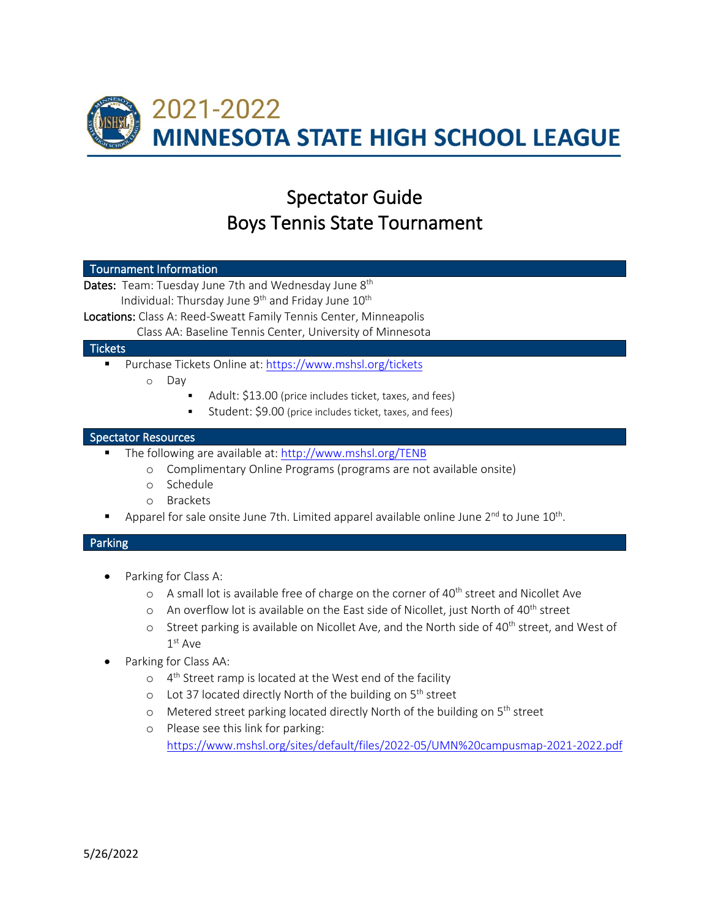

# Spectator Guide Boys Tennis State Tournament

#### Tournament Information

Dates: Team: Tuesday June 7th and Wednesday June 8<sup>th</sup> Individual: Thursday June  $9<sup>th</sup>$  and Friday June  $10<sup>th</sup>$ 

Locations: Class A: Reed-Sweatt Family Tennis Center, Minneapolis

Class AA: Baseline Tennis Center, University of Minnesota

## **Tickets**

- Purchase Tickets Online at[: https://www.mshsl.org/tickets](https://www.mshsl.org/tickets)
	- o Day
		- Adult: \$13.00 (price includes ticket, taxes, and fees)
		- Student: \$9.00 (price includes ticket, taxes, and fees)

## Spectator Resources

- The following are available at:<http://www.mshsl.org/TENB>
	- o Complimentary Online Programs (programs are not available onsite)
	- o Schedule
	- o Brackets
- Apparel for sale onsite June 7th. Limited apparel available online June  $2<sup>nd</sup>$  to June  $10<sup>th</sup>$ .

## Parking

- Parking for Class A:
	- o A small lot is available free of charge on the corner of 40<sup>th</sup> street and Nicollet Ave
	- $\circ$  An overflow lot is available on the East side of Nicollet, just North of 40<sup>th</sup> street
	- $\circ$  Street parking is available on Nicollet Ave, and the North side of 40<sup>th</sup> street, and West of 1<sup>st</sup> Ave
- Parking for Class AA:
	- $\circ$  4<sup>th</sup> Street ramp is located at the West end of the facility
	- o Lot 37 located directly North of the building on 5<sup>th</sup> street
	- o Metered street parking located directly North of the building on 5th street
	- o Please see this link for parking: <https://www.mshsl.org/sites/default/files/2022-05/UMN%20campusmap-2021-2022.pdf>